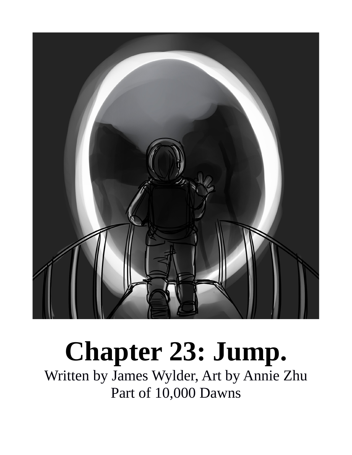

## **Chapter 23: Jump.**

Written by James Wylder, Art by Annie Zhu Part of 10,000 Dawns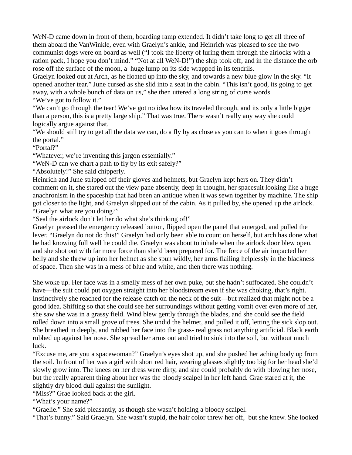WeN-D came down in front of them, boarding ramp extended. It didn't take long to get all three of them aboard the VanWinkle, even with Graelyn's ankle, and Heinrich was pleased to see the two communist dogs were on board as well ("I took the liberty of luring them through the airlocks with a ration pack, I hope you don't mind." "Not at all WeN-D!") the ship took off, and in the distance the orb rose off the surface of the moon, a huge lump on its side wrapped in its tendrils.

Graelyn looked out at Arch, as he floated up into the sky, and towards a new blue glow in the sky. "It opened another tear." June cursed as she slid into a seat in the cabin. "This isn't good, its going to get away, with a whole bunch of data on us," she then uttered a long string of curse words. "We've got to follow it."

"We can't go through the tear! We've got no idea how its traveled through, and its only a little bigger than a person, this is a pretty large ship." That was true. There wasn't really any way she could logically argue against that.

"We should still try to get all the data we can, do a fly by as close as you can to when it goes through the portal."

"Portal?"

"Whatever, we're inventing this jargon essentially."

"WeN-D can we chart a path to fly by its exit safely?"

"Absolutely!" She said chipperly.

Heinrich and June stripped off their gloves and helmets, but Graelyn kept hers on. They didn't comment on it, she stared out the view pane absently, deep in thought, her spacesuit looking like a huge anachronism in the spaceship that had been an antique when it was sewn together by machine. The ship got closer to the light, and Graelyn slipped out of the cabin. As it pulled by, she opened up the airlock. "Graelyn what are you doing?"

"Seal the airlock don't let her do what she's thinking of!"

Graelyn pressed the emergency released button, flipped open the panel that emerged, and pulled the lever. "Graelyn do not do this!" Graelyn had only been able to count on herself, but arch has done what he had knowing full well he could die. Graelyn was about to inhale when the airlock door blew open, and she shot out with far more force than she'd been prepared for. The force of the air impacted her belly and she threw up into her helmet as she spun wildly, her arms flailing helplessly in the blackness of space. Then she was in a mess of blue and white, and then there was nothing.

She woke up. Her face was in a smelly mess of her own puke, but she hadn't suffocated. She couldn't have—the suit could put oxygen straight into her bloodstream even if she was choking, that's right. Instinctively she reached for the release catch on the neck of the suit—but realized that might not be a good idea. Shifting so that she could see her surroundings without getting vomit over even more of her, she saw she was in a grassy field. Wind blew gently through the blades, and she could see the field rolled down into a small grove of trees. She undid the helmet, and pulled it off, letting the sick slop out. She breathed in deeply, and rubbed her face into the grass- real grass not anything artificial. Black earth rubbed up against her nose. She spread her arms out and tried to sink into the soil, but without much luck.

"Excuse me, are you a spacewoman?" Graelyn's eyes shot up, and she pushed her aching body up from the soil. In front of her was a girl with short red hair, wearing glasses slightly too big for her head she'd slowly grow into. The knees on her dress were dirty, and she could probably do with blowing her nose, but the really apparent thing about her was the bloody scalpel in her left hand. Grae stared at it, the slightly dry blood dull against the sunlight.

"Miss?" Grae looked back at the girl.

"What's your name?"

"Graelie." She said pleasantly, as though she wasn't holding a bloody scalpel.

"That's funny." Said Graelyn. She wasn't stupid, the hair color threw her off, but she knew. She looked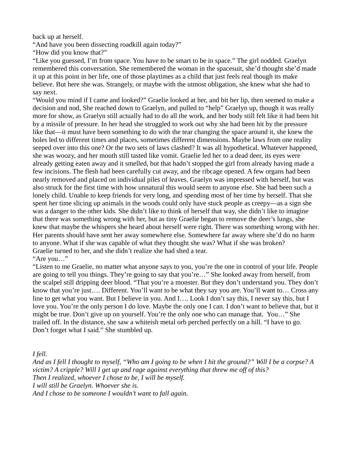back up at herself.

"And have you been dissecting roadkill again today?"

"How did you know that?"

"Like you guessed, I'm from space. You have to be smart to be in space." The girl nodded. Graelyn remembered this conversation. She remembered the woman in the spacesuit, she'd thought she'd made it up at this point in her life, one of those playtimes as a child that just feels real though its make believe. But here she was. Strangely, or maybe with the utmost obligation, she knew what she had to say next.

"Would you mind if I came and looked?" Graelie looked at her, and bit her lip, then seemed to make a decision and nod, She reached down to Graelyn, and pulled to "help" Graelyn up, though it was really more for show, as Graelyn still actually had to do all the work, and her body still felt like it had been hit by a missile of pressure. In her head she struggled to work out why she had been hit by the pressure like that—it must have been something to do with the tear changing the space around it, she knew the holes led to different times and places, sometimes different dimensions. Maybe laws from one reality seeped over into this one? Or the two sets of laws clashed? It was all hypothetical. Whatever happened, she was woozy, and her mouth still tasted like vomit. Graelie led her to a dead deer, its eyes were already getting eaten away and it smelled, but that hadn't stopped the girl from already having made a few incisions. The flesh had been carefully cut away, and the ribcage opened. A few organs had been nearly removed and placed on individual piles of leaves. Graelyn was impressed with herself, but was also struck for the first time with how unnatural this would seem to anyone else. She had been such a lonely child. Unable to keep friends for very long, and spending most of her time by herself. That she spent her time slicing up animals in the woods could only have stuck people as creepy—as a sign she was a danger to the other kids. She didn't like to think of herself that way, she didn't like to imagine that there was something wrong with her, but as tiny Graelie began to remove the deer's lungs, she knew that maybe the whispers she heard about herself were right. There was something wrong with her. Her parents should have sent her away somewhere else. Somewhere far away where she'd do no harm to anyone. What if she was capable of what they thought she was? What if she was broken? Graelie turned to her, and she didn't realize she had shed a tear.

"Are you…"

"Listen to me Graelie, no matter what anyone says to you, you're the one in control of your life. People are going to tell you things. They're going to say that you're…" She looked away from herself, from the scalpel still dripping deer blood. "That you're a monster. But they don't understand you. They don't know that you're just…. Different. You'll want to be what they say you are. You'll want to… Cross any line to get what you want. But I believe in you. And I.... Look I don't say this, I never say this, but I love you. You're the only person I do love. Maybe the only one I can. I don't want to believe that, but it might be true. Don't give up on yourself. You're the only one who can manage that. You…" She trailed off. In the distance, she saw a whiteish metal orb perched perfectly on a hill. "I have to go. Don't forget what I said." She stumbled up.

*I fell.*

*And as I fell I thought to myself, "Who am I going to be when I hit the ground?" Will I be a corpse? A victim? A cripple? Will I get up and rage against everything that threw me off of this? Then I realized, whoever I chose to be, I will be myself. I will still be Graelyn. Whoever she is. And I chose to be someone I wouldn't want to fall again.*